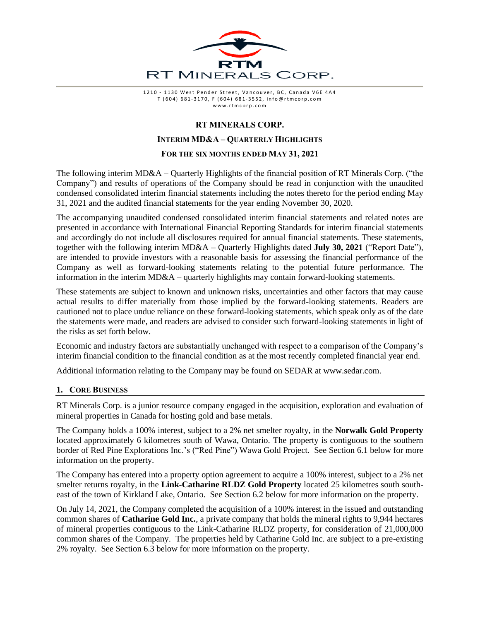

1210 - 1130 West Pender Street, Vancouver, BC, Canada V6E 4A4 T (604) 681-3170, F (604) 681-3552, info@rtmcorp.com www.rtmcorp.com

# **RT MINERALS CORP.**

## **INTERIM MD&A – QUARTERLY HIGHLIGHTS**

### **FOR THE SIX MONTHS ENDED MAY 31, 2021**

The following interim MD&A – Quarterly Highlights of the financial position of RT Minerals Corp. ("the Company") and results of operations of the Company should be read in conjunction with the unaudited condensed consolidated interim financial statements including the notes thereto for the period ending May 31, 2021 and the audited financial statements for the year ending November 30, 2020.

The accompanying unaudited condensed consolidated interim financial statements and related notes are presented in accordance with International Financial Reporting Standards for interim financial statements and accordingly do not include all disclosures required for annual financial statements. These statements, together with the following interim MD&A – Quarterly Highlights dated **July 30, 2021** ("Report Date"), are intended to provide investors with a reasonable basis for assessing the financial performance of the Company as well as forward-looking statements relating to the potential future performance. The information in the interim MD&A – quarterly highlights may contain forward-looking statements.

These statements are subject to known and unknown risks, uncertainties and other factors that may cause actual results to differ materially from those implied by the forward-looking statements. Readers are cautioned not to place undue reliance on these forward-looking statements, which speak only as of the date the statements were made, and readers are advised to consider such forward-looking statements in light of the risks as set forth below.

Economic and industry factors are substantially unchanged with respect to a comparison of the Company's interim financial condition to the financial condition as at the most recently completed financial year end.

Additional information relating to the Company may be found on SEDAR at www.sedar.com.

## **1. CORE BUSINESS**

RT Minerals Corp. is a junior resource company engaged in the acquisition, exploration and evaluation of mineral properties in Canada for hosting gold and base metals.

The Company holds a 100% interest, subject to a 2% net smelter royalty, in the **Norwalk Gold Property** located approximately 6 kilometres south of Wawa, Ontario. The property is contiguous to the southern border of Red Pine Explorations Inc.'s ("Red Pine") Wawa Gold Project. See Section 6.1 below for more information on the property.

The Company has entered into a property option agreement to acquire a 100% interest, subject to a 2% net smelter returns royalty, in the **Link-Catharine RLDZ Gold Property** located 25 kilometres south southeast of the town of Kirkland Lake, Ontario. See Section 6.2 below for more information on the property.

On July 14, 2021, the Company completed the acquisition of a 100% interest in the issued and outstanding common shares of **Catharine Gold Inc.**, a private company that holds the mineral rights to 9,944 hectares of mineral properties contiguous to the Link-Catharine RLDZ property, for consideration of 21,000,000 common shares of the Company. The properties held by Catharine Gold Inc. are subject to a pre-existing 2% royalty. See Section 6.3 below for more information on the property.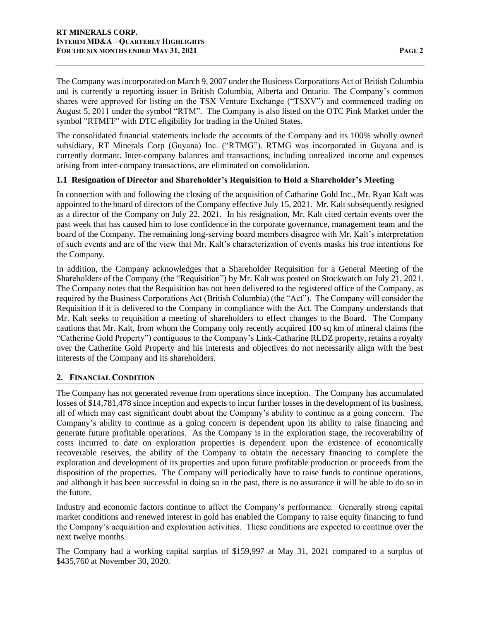The Company was incorporated on March 9, 2007 under the Business Corporations Act of British Columbia and is currently a reporting issuer in British Columbia, Alberta and Ontario. The Company's common shares were approved for listing on the TSX Venture Exchange ("TSXV") and commenced trading on August 5, 2011 under the symbol "RTM". The Company is also listed on the OTC Pink Market under the symbol "RTMFF" with DTC eligibility for trading in the United States.

The consolidated financial statements include the accounts of the Company and its 100% wholly owned subsidiary, RT Minerals Corp (Guyana) Inc. ("RTMG"). RTMG was incorporated in Guyana and is currently dormant. Inter-company balances and transactions, including unrealized income and expenses arising from inter-company transactions, are eliminated on consolidation.

## **1.1 Resignation of Director and Shareholder's Requisition to Hold a Shareholder's Meeting**

In connection with and following the closing of the acquisition of Catharine Gold Inc., Mr. Ryan Kalt was appointed to the board of directors of the Company effective July 15, 2021. Mr. Kalt subsequently resigned as a director of the Company on July 22, 2021. In his resignation, Mr. Kalt cited certain events over the past week that has caused him to lose confidence in the corporate governance, management team and the board of the Company. The remaining long-serving board members disagree with Mr. Kalt's interpretation of such events and are of the view that Mr. Kalt's characterization of events masks his true intentions for the Company.

In addition, the Company acknowledges that a Shareholder Requisition for a General Meeting of the Shareholders of the Company (the "Requisition") by Mr. Kalt was posted on Stockwatch on July 21, 2021. The Company notes that the Requisition has not been delivered to the registered office of the Company, as required by the Business Corporations Act (British Columbia) (the "Act"). The Company will consider the Requisition if it is delivered to the Company in compliance with the Act. The Company understands that Mr. Kalt seeks to requisition a meeting of shareholders to effect changes to the Board. The Company cautions that Mr. Kalt, from whom the Company only recently acquired 100 sq km of mineral claims (the "Catherine Gold Property") contiguous to the Company's Link-Catharine RLDZ property, retains a royalty over the Catherine Gold Property and his interests and objectives do not necessarily align with the best interests of the Company and its shareholders.

## **2. FINANCIAL CONDITION**

The Company has not generated revenue from operations since inception. The Company has accumulated losses of \$14,781,478 since inception and expects to incur further losses in the development of its business, all of which may cast significant doubt about the Company's ability to continue as a going concern. The Company's ability to continue as a going concern is dependent upon its ability to raise financing and generate future profitable operations. As the Company is in the exploration stage, the recoverability of costs incurred to date on exploration properties is dependent upon the existence of economically recoverable reserves, the ability of the Company to obtain the necessary financing to complete the exploration and development of its properties and upon future profitable production or proceeds from the disposition of the properties. The Company will periodically have to raise funds to continue operations, and although it has been successful in doing so in the past, there is no assurance it will be able to do so in the future.

Industry and economic factors continue to affect the Company's performance. Generally strong capital market conditions and renewed interest in gold has enabled the Company to raise equity financing to fund the Company's acquisition and exploration activities. These conditions are expected to continue over the next twelve months.

The Company had a working capital surplus of \$159,997 at May 31, 2021 compared to a surplus of \$435,760 at November 30, 2020.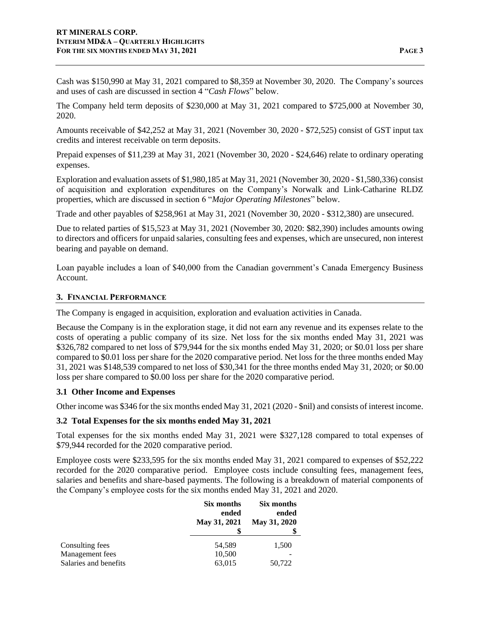Cash was \$150,990 at May 31, 2021 compared to \$8,359 at November 30, 2020. The Company's sources and uses of cash are discussed in section 4 "*Cash Flows*" below.

The Company held term deposits of \$230,000 at May 31, 2021 compared to \$725,000 at November 30, 2020.

Amounts receivable of \$42,252 at May 31, 2021 (November 30, 2020 - \$72,525) consist of GST input tax credits and interest receivable on term deposits.

Prepaid expenses of \$11,239 at May 31, 2021 (November 30, 2020 - \$24,646) relate to ordinary operating expenses.

Exploration and evaluation assets of \$1,980,185 at May 31, 2021 (November 30, 2020 - \$1,580,336) consist of acquisition and exploration expenditures on the Company's Norwalk and Link-Catharine RLDZ properties, which are discussed in section 6 "*Major Operating Milestones*" below.

Trade and other payables of \$258,961 at May 31, 2021 (November 30, 2020 - \$312,380) are unsecured.

Due to related parties of \$15,523 at May 31, 2021 (November 30, 2020: \$82,390) includes amounts owing to directors and officers for unpaid salaries, consulting fees and expenses, which are unsecured, non interest bearing and payable on demand.

Loan payable includes a loan of \$40,000 from the Canadian government's Canada Emergency Business Account.

### **3. FINANCIAL PERFORMANCE**

The Company is engaged in acquisition, exploration and evaluation activities in Canada.

Because the Company is in the exploration stage, it did not earn any revenue and its expenses relate to the costs of operating a public company of its size. Net loss for the six months ended May 31, 2021 was \$326,782 compared to net loss of \$79,944 for the six months ended May 31, 2020; or \$0.01 loss per share compared to \$0.01 loss per share for the 2020 comparative period. Net loss for the three months ended May 31, 2021 was \$148,539 compared to net loss of \$30,341 for the three months ended May 31, 2020; or \$0.00 loss per share compared to \$0.00 loss per share for the 2020 comparative period.

### **3.1 Other Income and Expenses**

Other income was \$346 for the six months ended May 31, 2021 (2020 - \$nil) and consists of interest income.

### **3.2 Total Expenses for the six months ended May 31, 2021**

Total expenses for the six months ended May 31, 2021 were \$327,128 compared to total expenses of \$79,944 recorded for the 2020 comparative period.

Employee costs were \$233,595 for the six months ended May 31, 2021 compared to expenses of \$52,222 recorded for the 2020 comparative period. Employee costs include consulting fees, management fees, salaries and benefits and share-based payments. The following is a breakdown of material components of the Company's employee costs for the six months ended May 31, 2021 and 2020.

|                       | Six months   | Six months   |
|-----------------------|--------------|--------------|
|                       | ended        | ended        |
|                       | May 31, 2021 | May 31, 2020 |
|                       |              |              |
| Consulting fees       | 54,589       | 1,500        |
| Management fees       | 10,500       |              |
| Salaries and benefits | 63,015       | 50,722       |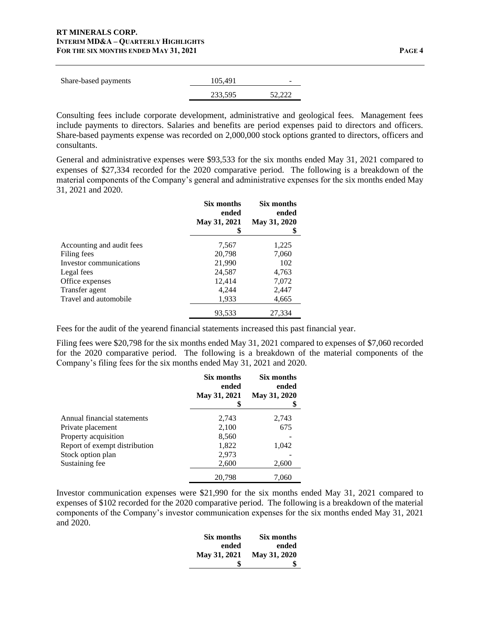| Share-based payments | 105.491 | $\overline{\phantom{a}}$ |
|----------------------|---------|--------------------------|
|                      | 233.595 | 52,222                   |

Consulting fees include corporate development, administrative and geological fees. Management fees include payments to directors. Salaries and benefits are period expenses paid to directors and officers. Share-based payments expense was recorded on 2,000,000 stock options granted to directors, officers and consultants.

General and administrative expenses were \$93,533 for the six months ended May 31, 2021 compared to expenses of \$27,334 recorded for the 2020 comparative period. The following is a breakdown of the material components of the Company's general and administrative expenses for the six months ended May 31, 2021 and 2020.

|                           | Six months<br>ended<br>May 31, 2021 | Six months<br>ended<br>May 31, 2020 |
|---------------------------|-------------------------------------|-------------------------------------|
| Accounting and audit fees | 7,567                               | 1,225                               |
| Filing fees               | 20,798                              | 7,060                               |
| Investor communications   | 21,990                              | 102                                 |
| Legal fees                | 24,587                              | 4,763                               |
| Office expenses           | 12,414                              | 7,072                               |
| Transfer agent            | 4,244                               | 2,447                               |
| Travel and automobile     | 1,933                               | 4,665                               |
|                           | 93,533                              | 27,334                              |

Fees for the audit of the yearend financial statements increased this past financial year.

Filing fees were \$20,798 for the six months ended May 31, 2021 compared to expenses of \$7,060 recorded for the 2020 comparative period. The following is a breakdown of the material components of the Company's filing fees for the six months ended May 31, 2021 and 2020.

|                               | Six months<br>ended<br>May 31, 2021<br>\$ | Six months<br>ended<br>May 31, 2020 |
|-------------------------------|-------------------------------------------|-------------------------------------|
| Annual financial statements   | 2,743                                     | 2,743                               |
| Private placement             | 2,100                                     | 675                                 |
| Property acquisition          | 8,560                                     |                                     |
| Report of exempt distribution | 1,822                                     | 1,042                               |
| Stock option plan             | 2,973                                     |                                     |
| Sustaining fee                | 2,600                                     | 2,600                               |
|                               | 20.798                                    | 7.060                               |

Investor communication expenses were \$21,990 for the six months ended May 31, 2021 compared to expenses of \$102 recorded for the 2020 comparative period. The following is a breakdown of the material components of the Company's investor communication expenses for the six months ended May 31, 2021 and 2020.

| Six months   |
|--------------|
| ended        |
| May 31, 2020 |
|              |
|              |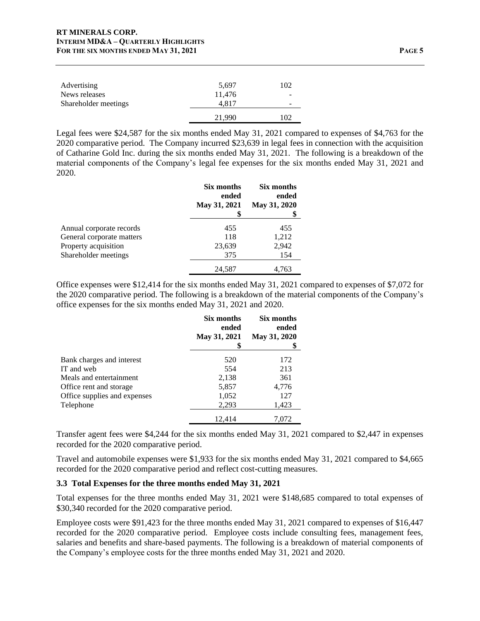| Advertising          | 5,697  | 102 |
|----------------------|--------|-----|
| News releases        | 11.476 | -   |
| Shareholder meetings | 4.817  | -   |
|                      | 21,990 | 102 |

Legal fees were \$24,587 for the six months ended May 31, 2021 compared to expenses of \$4,763 for the 2020 comparative period. The Company incurred \$23,639 in legal fees in connection with the acquisition of Catharine Gold Inc. during the six months ended May 31, 2021. The following is a breakdown of the material components of the Company's legal fee expenses for the six months ended May 31, 2021 and 2020.

|                           | Six months<br>ended | Six months<br>ended |
|---------------------------|---------------------|---------------------|
|                           | May 31, 2021<br>\$  | May 31, 2020        |
| Annual corporate records  | 455                 | 455                 |
| General corporate matters | 118                 | 1,212               |
| Property acquisition      | 23,639              | 2,942               |
| Shareholder meetings      | 375                 | 154                 |
|                           | 24.587              | 4,763               |

Office expenses were \$12,414 for the six months ended May 31, 2021 compared to expenses of \$7,072 for the 2020 comparative period. The following is a breakdown of the material components of the Company's office expenses for the six months ended May 31, 2021 and 2020.

|                              | Six months<br>ended<br>May 31, 2021 | Six months<br>ended<br>May 31, 2020 |
|------------------------------|-------------------------------------|-------------------------------------|
|                              |                                     |                                     |
| Bank charges and interest    | 520                                 | 172                                 |
| IT and web                   | 554                                 | 213                                 |
| Meals and entertainment      | 2,138                               | 361                                 |
| Office rent and storage      | 5,857                               | 4,776                               |
| Office supplies and expenses | 1,052                               | 127                                 |
| Telephone                    | 2,293                               | 1,423                               |
|                              | 12,414                              | 7,072                               |

Transfer agent fees were \$4,244 for the six months ended May 31, 2021 compared to \$2,447 in expenses recorded for the 2020 comparative period.

Travel and automobile expenses were \$1,933 for the six months ended May 31, 2021 compared to \$4,665 recorded for the 2020 comparative period and reflect cost-cutting measures.

## **3.3 Total Expenses for the three months ended May 31, 2021**

Total expenses for the three months ended May 31, 2021 were \$148,685 compared to total expenses of \$30,340 recorded for the 2020 comparative period.

Employee costs were \$91,423 for the three months ended May 31, 2021 compared to expenses of \$16,447 recorded for the 2020 comparative period. Employee costs include consulting fees, management fees, salaries and benefits and share-based payments. The following is a breakdown of material components of the Company's employee costs for the three months ended May 31, 2021 and 2020.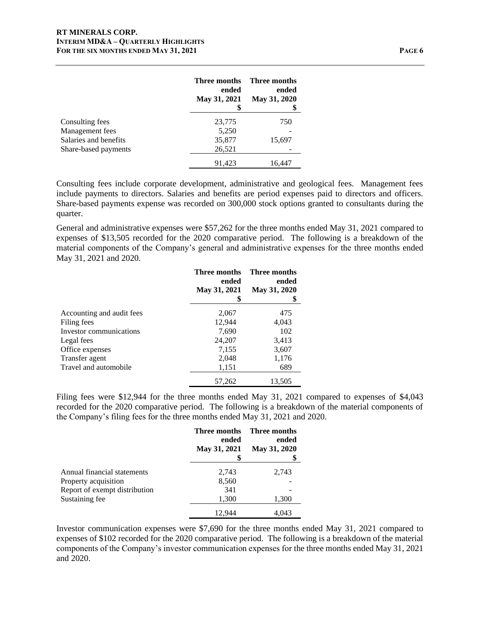|                       | Three months<br>ended<br>May 31, 2021 | Three months<br>ended<br>May 31, 2020 |
|-----------------------|---------------------------------------|---------------------------------------|
| Consulting fees       | 23,775                                | 750                                   |
| Management fees       | 5,250                                 |                                       |
| Salaries and benefits | 35,877                                | 15,697                                |
| Share-based payments  | 26,521                                |                                       |
|                       | 91,423                                | 16,447                                |

Consulting fees include corporate development, administrative and geological fees. Management fees include payments to directors. Salaries and benefits are period expenses paid to directors and officers. Share-based payments expense was recorded on 300,000 stock options granted to consultants during the quarter.

General and administrative expenses were \$57,262 for the three months ended May 31, 2021 compared to expenses of \$13,505 recorded for the 2020 comparative period. The following is a breakdown of the material components of the Company's general and administrative expenses for the three months ended May 31, 2021 and 2020.

|                           | <b>Three months</b><br>ended<br>May 31, 2021<br>\$ | Three months<br>ended<br>May 31, 2020 |
|---------------------------|----------------------------------------------------|---------------------------------------|
| Accounting and audit fees | 2,067                                              | 475                                   |
| Filing fees               | 12,944                                             | 4,043                                 |
| Investor communications   | 7,690                                              | 102                                   |
| Legal fees                | 24,207                                             | 3,413                                 |
| Office expenses           | 7,155                                              | 3,607                                 |
| Transfer agent            | 2,048                                              | 1,176                                 |
| Travel and automobile     | 1,151                                              | 689                                   |
|                           | 57,262                                             | 13,505                                |

Filing fees were \$12,944 for the three months ended May 31, 2021 compared to expenses of \$4,043 recorded for the 2020 comparative period. The following is a breakdown of the material components of the Company's filing fees for the three months ended May 31, 2021 and 2020.

|                               | Three months<br>ended<br>May 31, 2021 | Three months<br>ended<br>May 31, 2020 |
|-------------------------------|---------------------------------------|---------------------------------------|
| Annual financial statements   | 2,743                                 | 2,743                                 |
| Property acquisition          | 8,560                                 |                                       |
| Report of exempt distribution | 341                                   |                                       |
| Sustaining fee                | 1,300                                 | 1,300                                 |
|                               | 12.944                                | 4.043                                 |

Investor communication expenses were \$7,690 for the three months ended May 31, 2021 compared to expenses of \$102 recorded for the 2020 comparative period. The following is a breakdown of the material components of the Company's investor communication expenses for the three months ended May 31, 2021 and 2020.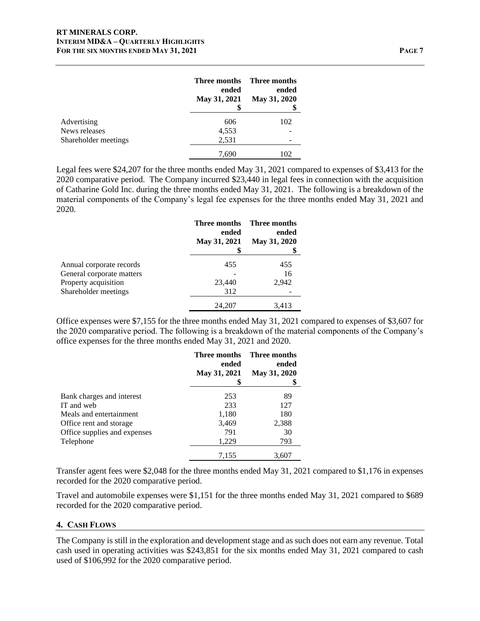|                      | Three months<br>ended<br>May 31, 2021 | Three months<br>ended<br>May 31, 2020 |
|----------------------|---------------------------------------|---------------------------------------|
| Advertising          | 606                                   | 102                                   |
| News releases        | 4,553                                 |                                       |
| Shareholder meetings | 2,531                                 |                                       |
|                      | 7,690                                 | 102                                   |

Legal fees were \$24,207 for the three months ended May 31, 2021 compared to expenses of \$3,413 for the 2020 comparative period. The Company incurred \$23,440 in legal fees in connection with the acquisition of Catharine Gold Inc. during the three months ended May 31, 2021. The following is a breakdown of the material components of the Company's legal fee expenses for the three months ended May 31, 2021 and 2020.

|                           | <b>Three months</b><br>ended<br>May 31, 2021 | Three months<br>ended<br>May 31, 2020 |
|---------------------------|----------------------------------------------|---------------------------------------|
| Annual corporate records  | 455                                          | 455                                   |
| General corporate matters |                                              | 16                                    |
| Property acquisition      | 23,440                                       | 2,942                                 |
| Shareholder meetings      | 312                                          |                                       |
|                           | 24,207                                       | 3,413                                 |

Office expenses were \$7,155 for the three months ended May 31, 2021 compared to expenses of \$3,607 for the 2020 comparative period. The following is a breakdown of the material components of the Company's office expenses for the three months ended May 31, 2021 and 2020.

|                              | Three months<br>ended | Three months<br>ended |
|------------------------------|-----------------------|-----------------------|
|                              | May 31, 2021          | May 31, 2020<br>\$    |
| Bank charges and interest    | 253                   | 89                    |
| IT and web                   | 233                   | 127                   |
| Meals and entertainment      | 1,180                 | 180                   |
| Office rent and storage      | 3,469                 | 2,388                 |
| Office supplies and expenses | 791                   | 30                    |
| Telephone                    | 1,229                 | 793                   |
|                              | 7,155                 | 3,607                 |

Transfer agent fees were \$2,048 for the three months ended May 31, 2021 compared to \$1,176 in expenses recorded for the 2020 comparative period.

Travel and automobile expenses were \$1,151 for the three months ended May 31, 2021 compared to \$689 recorded for the 2020 comparative period.

## **4. CASH FLOWS**

The Company is still in the exploration and development stage and as such does not earn any revenue. Total cash used in operating activities was \$243,851 for the six months ended May 31, 2021 compared to cash used of \$106,992 for the 2020 comparative period.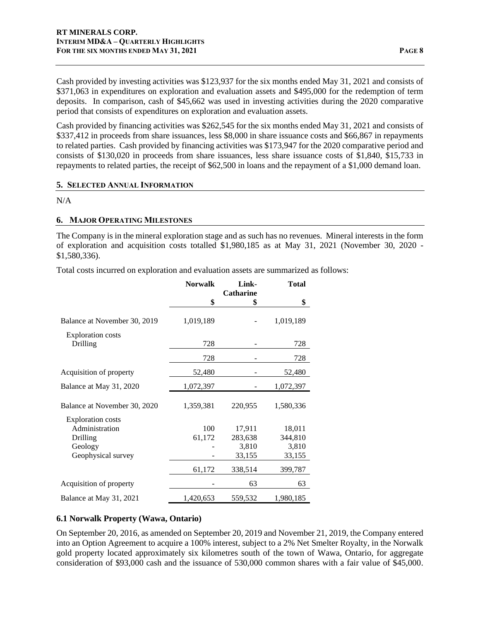Cash provided by investing activities was \$123,937 for the six months ended May 31, 2021 and consists of \$371,063 in expenditures on exploration and evaluation assets and \$495,000 for the redemption of term deposits. In comparison, cash of \$45,662 was used in investing activities during the 2020 comparative period that consists of expenditures on exploration and evaluation assets.

Cash provided by financing activities was \$262,545 for the six months ended May 31, 2021 and consists of \$337,412 in proceeds from share issuances, less \$8,000 in share issuance costs and \$66,867 in repayments to related parties. Cash provided by financing activities was \$173,947 for the 2020 comparative period and consists of \$130,020 in proceeds from share issuances, less share issuance costs of \$1,840, \$15,733 in repayments to related parties, the receipt of \$62,500 in loans and the repayment of a \$1,000 demand loan.

#### **5. SELECTED ANNUAL INFORMATION**

 $N/A$ 

### **6. MAJOR OPERATING MILESTONES**

The Company is in the mineral exploration stage and as such has no revenues. Mineral interests in the form of exploration and acquisition costs totalled \$1,980,185 as at May 31, 2021 (November 30, 2020 - \$1,580,336).

Total costs incurred on exploration and evaluation assets are summarized as follows:

|                              | <b>Norwalk</b> | Link-<br><b>Catharine</b> | <b>Total</b> |
|------------------------------|----------------|---------------------------|--------------|
|                              | \$             | \$                        | \$           |
| Balance at November 30, 2019 | 1,019,189      |                           | 1,019,189    |
| <b>Exploration costs</b>     |                |                           |              |
| Drilling                     | 728            |                           | 728          |
|                              | 728            |                           | 728          |
| Acquisition of property      | 52,480         |                           | 52,480       |
| Balance at May 31, 2020      | 1,072,397      |                           | 1,072,397    |
| Balance at November 30, 2020 | 1,359,381      | 220,955                   | 1,580,336    |
| <b>Exploration costs</b>     |                |                           |              |
| Administration               | 100            | 17,911                    | 18,011       |
| Drilling                     | 61,172         | 283,638                   | 344,810      |
| Geology                      |                | 3,810                     | 3,810        |
| Geophysical survey           |                | 33,155                    | 33,155       |
|                              | 61,172         | 338,514                   | 399,787      |
| Acquisition of property      |                | 63                        | 63           |
| Balance at May 31, 2021      | 1,420,653      | 559,532                   | 1,980,185    |

### **6.1 Norwalk Property (Wawa, Ontario)**

On September 20, 2016, as amended on September 20, 2019 and November 21, 2019, the Company entered into an Option Agreement to acquire a 100% interest, subject to a 2% Net Smelter Royalty, in the Norwalk gold property located approximately six kilometres south of the town of Wawa, Ontario, for aggregate consideration of \$93,000 cash and the issuance of 530,000 common shares with a fair value of \$45,000.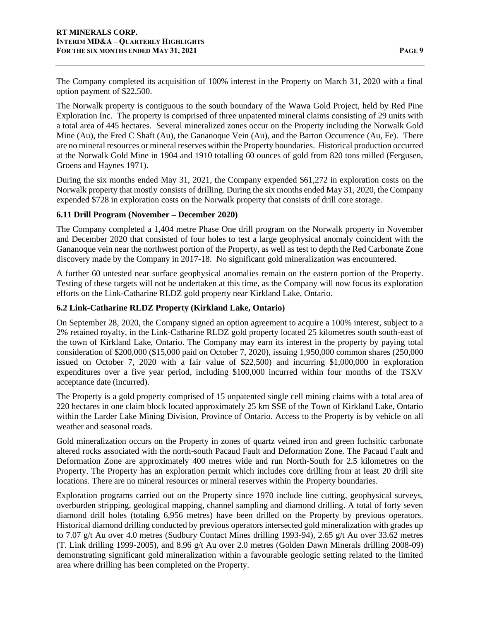The Company completed its acquisition of 100% interest in the Property on March 31, 2020 with a final option payment of \$22,500.

The Norwalk property is contiguous to the south boundary of the Wawa Gold Project, held by Red Pine Exploration Inc. The property is comprised of three unpatented mineral claims consisting of 29 units with a total area of 445 hectares. Several mineralized zones occur on the Property including the Norwalk Gold Mine (Au), the Fred C Shaft (Au), the Gananoque Vein (Au), and the Barton Occurrence (Au, Fe). There are no mineral resources or mineral reserves within the Property boundaries. Historical production occurred at the Norwalk Gold Mine in 1904 and 1910 totalling 60 ounces of gold from 820 tons milled (Fergusen, Groens and Haynes 1971).

During the six months ended May 31, 2021, the Company expended \$61,272 in exploration costs on the Norwalk property that mostly consists of drilling. During the six months ended May 31, 2020, the Company expended \$728 in exploration costs on the Norwalk property that consists of drill core storage.

## **6.11 Drill Program (November – December 2020)**

The Company completed a 1,404 metre Phase One drill program on the Norwalk property in November and December 2020 that consisted of four holes to test a large geophysical anomaly coincident with the Gananoque vein near the northwest portion of the Property, as well as test to depth the Red Carbonate Zone discovery made by the Company in 2017-18. No significant gold mineralization was encountered.

A further 60 untested near surface geophysical anomalies remain on the eastern portion of the Property. Testing of these targets will not be undertaken at this time, as the Company will now focus its exploration efforts on the Link-Catharine RLDZ gold property near Kirkland Lake, Ontario.

# **6.2 Link-Catharine RLDZ Property (Kirkland Lake, Ontario)**

On September 28, 2020, the Company signed an option agreement to acquire a 100% interest, subject to a 2% retained royalty, in the Link-Catharine RLDZ gold property located 25 kilometres south south-east of the town of Kirkland Lake, Ontario. The Company may earn its interest in the property by paying total consideration of \$200,000 (\$15,000 paid on October 7, 2020), issuing 1,950,000 common shares (250,000 issued on October 7, 2020 with a fair value of \$22,500) and incurring \$1,000,000 in exploration expenditures over a five year period, including \$100,000 incurred within four months of the TSXV acceptance date (incurred).

The Property is a gold property comprised of 15 unpatented single cell mining claims with a total area of 220 hectares in one claim block located approximately 25 km SSE of the Town of Kirkland Lake, Ontario within the Larder Lake Mining Division, Province of Ontario. Access to the Property is by vehicle on all weather and seasonal roads.

Gold mineralization occurs on the Property in zones of quartz veined iron and green fuchsitic carbonate altered rocks associated with the north-south Pacaud Fault and Deformation Zone. The Pacaud Fault and Deformation Zone are approximately 400 metres wide and run North-South for 2.5 kilometres on the Property. The Property has an exploration permit which includes core drilling from at least 20 drill site locations. There are no mineral resources or mineral reserves within the Property boundaries.

Exploration programs carried out on the Property since 1970 include line cutting, geophysical surveys, overburden stripping, geological mapping, channel sampling and diamond drilling. A total of forty seven diamond drill holes (totaling 6,956 metres) have been drilled on the Property by previous operators. Historical diamond drilling conducted by previous operators intersected gold mineralization with grades up to 7.07 g/t Au over 4.0 metres (Sudbury Contact Mines drilling 1993-94), 2.65 g/t Au over 33.62 metres (T. Link drilling 1999-2005), and 8.96 g/t Au over 2.0 metres (Golden Dawn Minerals drilling 2008-09) demonstrating significant gold mineralization within a favourable geologic setting related to the limited area where drilling has been completed on the Property.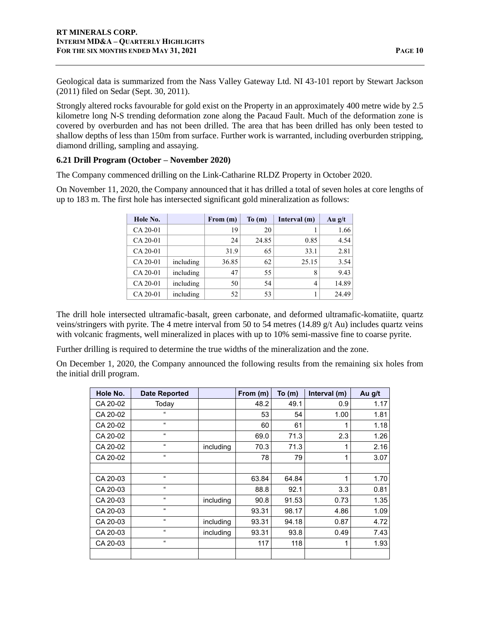Geological data is summarized from the Nass Valley Gateway Ltd. NI 43-101 report by Stewart Jackson (2011) filed on Sedar (Sept. 30, 2011).

Strongly altered rocks favourable for gold exist on the Property in an approximately 400 metre wide by 2.5 kilometre long N-S trending deformation zone along the Pacaud Fault. Much of the deformation zone is covered by overburden and has not been drilled. The area that has been drilled has only been tested to shallow depths of less than 150m from surface. Further work is warranted, including overburden stripping, diamond drilling, sampling and assaying.

### **6.21 Drill Program (October – November 2020)**

The Company commenced drilling on the Link-Catharine RLDZ Property in October 2020.

On November 11, 2020, the Company announced that it has drilled a total of seven holes at core lengths of up to 183 m. The first hole has intersected significant gold mineralization as follows:

| Hole No. |           | From (m) | To(m) | Interval (m) | Au $g/t$ |
|----------|-----------|----------|-------|--------------|----------|
| CA 20-01 |           | 19       | 20    |              | 1.66     |
| CA 20-01 |           | 24       | 24.85 | 0.85         | 4.54     |
| CA 20-01 |           | 31.9     | 65    | 33.1         | 2.81     |
| CA 20-01 | including | 36.85    | 62    | 25.15        | 3.54     |
| CA 20-01 | including | 47       | 55    | 8            | 9.43     |
| CA 20-01 | including | 50       | 54    | 4            | 14.89    |
| CA 20-01 | including | 52       | 53    |              | 24.49    |

The drill hole intersected ultramafic-basalt, green carbonate, and deformed ultramafic-komatiite, quartz veins/stringers with pyrite. The 4 metre interval from 50 to 54 metres (14.89 g/t Au) includes quartz veins with volcanic fragments, well mineralized in places with up to 10% semi-massive fine to coarse pyrite.

Further drilling is required to determine the true widths of the mineralization and the zone.

On December 1, 2020, the Company announced the following results from the remaining six holes from the initial drill program.

| Hole No. | <b>Date Reported</b>       |           | From (m) | To $(m)$ | Interval (m)     | Au g/t |
|----------|----------------------------|-----------|----------|----------|------------------|--------|
| CA 20-02 | Today                      |           | 48.2     | 49.1     | 0.9              | 1.17   |
| CA 20-02 | "                          |           | 53       | 54       | 1.00             | 1.81   |
| CA 20-02 | $\mathfrak{c}\mathfrak{c}$ |           | 60       | 61       | 1                | 1.18   |
| CA 20-02 | $\mathfrak{c}\mathfrak{c}$ |           | 69.0     | 71.3     | 2.3              | 1.26   |
| CA 20-02 | $\mathfrak{c}\mathfrak{c}$ | including | 70.3     | 71.3     |                  | 2.16   |
| CA 20-02 | $\mathfrak{c}\mathfrak{c}$ |           | 78       | 79       | 1                | 3.07   |
|          |                            |           |          |          |                  |        |
| CA 20-03 | $\mathfrak{c}\mathfrak{c}$ |           | 63.84    | 64.84    | 1                | 1.70   |
| CA 20-03 | $\mathfrak{c}\mathfrak{c}$ |           | 88.8     | 92.1     | 3.3 <sub>2</sub> | 0.81   |
| CA 20-03 | $\mathfrak{c}\mathfrak{c}$ | including | 90.8     | 91.53    | 0.73             | 1.35   |
| CA 20-03 | $\epsilon$                 |           | 93.31    | 98.17    | 4.86             | 1.09   |
| CA 20-03 | $\mathfrak{c}\mathfrak{c}$ | including | 93.31    | 94.18    | 0.87             | 4.72   |
| CA 20-03 | $\epsilon$                 | including | 93.31    | 93.8     | 0.49             | 7.43   |
| CA 20-03 | $\mathfrak{c}\mathfrak{c}$ |           | 117      | 118      | 1                | 1.93   |
|          |                            |           |          |          |                  |        |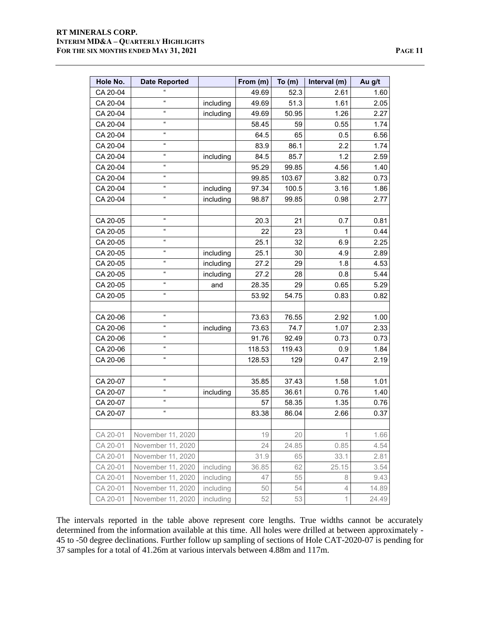| Hole No. | <b>Date Reported</b>        |           | From (m) | To $(m)$ | Interval (m) | Au g/t |
|----------|-----------------------------|-----------|----------|----------|--------------|--------|
| CA 20-04 | $\alpha$                    |           | 49.69    | 52.3     | 2.61         | 1.60   |
| CA 20-04 | $\mathbf{g}$                | including | 49.69    | 51.3     | 1.61         | 2.05   |
| CA 20-04 | $\boldsymbol{\mathfrak{u}}$ | including | 49.69    | 50.95    | 1.26         | 2.27   |
| CA 20-04 | $\boldsymbol{\mathfrak{u}}$ |           | 58.45    | 59       | 0.55         | 1.74   |
| CA 20-04 | $\boldsymbol{\mu}$          |           | 64.5     | 65       | 0.5          | 6.56   |
| CA 20-04 | $\boldsymbol{\mathfrak{u}}$ |           | 83.9     | 86.1     | 2.2          | 1.74   |
| CA 20-04 | $\boldsymbol{\mu}$          | including | 84.5     | 85.7     | 1.2          | 2.59   |
| CA 20-04 | $\boldsymbol{\mathfrak{c}}$ |           | 95.29    | 99.85    | 4.56         | 1.40   |
| CA 20-04 | $\boldsymbol{\mathfrak{c}}$ |           | 99.85    | 103.67   | 3.82         | 0.73   |
| CA 20-04 | $\boldsymbol{\mathfrak{c}}$ | including | 97.34    | 100.5    | 3.16         | 1.86   |
| CA 20-04 | $\boldsymbol{\mathfrak{c}}$ | including | 98.87    | 99.85    | 0.98         | 2.77   |
|          |                             |           |          |          |              |        |
| CA 20-05 | $\pmb{\mathfrak{u}}$        |           | 20.3     | 21       | 0.7          | 0.81   |
| CA 20-05 | $\mathfrak{c}\mathfrak{c}$  |           | 22       | 23       | 1            | 0.44   |
| CA 20-05 | $\pmb{\mathfrak{u}}$        |           | 25.1     | 32       | 6.9          | 2.25   |
| CA 20-05 | $\boldsymbol{\mu}$          | including | 25.1     | 30       | 4.9          | 2.89   |
| CA 20-05 | $\boldsymbol{\mathfrak{u}}$ | including | 27.2     | 29       | 1.8          | 4.53   |
| CA 20-05 | $\boldsymbol{\mathfrak{c}}$ | including | 27.2     | 28       | 0.8          | 5.44   |
| CA 20-05 | $\boldsymbol{\mathfrak{c}}$ | and       | 28.35    | 29       | 0.65         | 5.29   |
| CA 20-05 | $\boldsymbol{\mathfrak{u}}$ |           | 53.92    | 54.75    | 0.83         | 0.82   |
|          |                             |           |          |          |              |        |
| CA 20-06 | $\mathfrak{c}\mathfrak{c}$  |           | 73.63    | 76.55    | 2.92         | 1.00   |
| CA 20-06 | $\boldsymbol{\mathfrak{u}}$ | including | 73.63    | 74.7     | 1.07         | 2.33   |
| CA 20-06 | $\pmb{\mathfrak{u}}$        |           | 91.76    | 92.49    | 0.73         | 0.73   |
| CA 20-06 | $\boldsymbol{\mu}$          |           | 118.53   | 119.43   | 0.9          | 1.84   |
| CA 20-06 | $\pmb{\mathfrak{u}}$        |           | 128.53   | 129      | 0.47         | 2.19   |
|          |                             |           |          |          |              |        |
| CA 20-07 | $\pmb{\mathfrak{u}}$        |           | 35.85    | 37.43    | 1.58         | 1.01   |
| CA 20-07 | $\boldsymbol{\mathfrak{c}}$ | including | 35.85    | 36.61    | 0.76         | 1.40   |
| CA 20-07 | $\boldsymbol{\mathfrak{c}}$ |           | 57       | 58.35    | 1.35         | 0.76   |
| CA 20-07 | $\boldsymbol{\mathfrak{u}}$ |           | 83.38    | 86.04    | 2.66         | 0.37   |
|          |                             |           |          |          |              |        |
| CA 20-01 | November 11, 2020           |           | 19       | 20       | 1            | 1.66   |
| CA 20-01 | November 11, 2020           |           | 24       | 24.85    | 0.85         | 4.54   |
| CA 20-01 | November 11, 2020           |           | 31.9     | 65       | 33.1         | 2.81   |
| CA 20-01 | November 11, 2020           | including | 36.85    | 62       | 25.15        | 3.54   |
| CA 20-01 | November 11, 2020           | including | 47       | 55       | 8            | 9.43   |
| CA 20-01 | November 11, 2020           | including | 50       | 54       | 4            | 14.89  |
| CA 20-01 | November 11, 2020           | including | 52       | 53       | $\mathbf 1$  | 24.49  |

The intervals reported in the table above represent core lengths. True widths cannot be accurately determined from the information available at this time. All holes were drilled at between approximately - 45 to -50 degree declinations. Further follow up sampling of sections of Hole CAT-2020-07 is pending for 37 samples for a total of 41.26m at various intervals between 4.88m and 117m.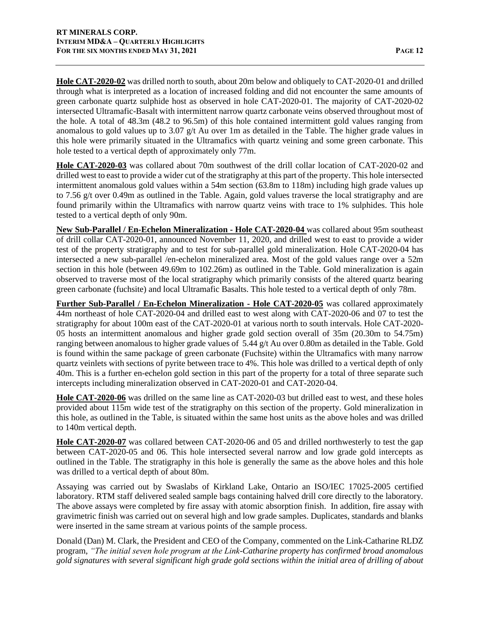**Hole CAT-2020-02** was drilled north to south, about 20m below and obliquely to CAT-2020-01 and drilled through what is interpreted as a location of increased folding and did not encounter the same amounts of green carbonate quartz sulphide host as observed in hole CAT-2020-01. The majority of CAT-2020-02 intersected Ultramafic-Basalt with intermittent narrow quartz carbonate veins observed throughout most of the hole. A total of 48.3m (48.2 to 96.5m) of this hole contained intermittent gold values ranging from anomalous to gold values up to 3.07  $g/t$  Au over 1m as detailed in the Table. The higher grade values in this hole were primarily situated in the Ultramafics with quartz veining and some green carbonate. This hole tested to a vertical depth of approximately only 77m.

**Hole CAT-2020-03** was collared about 70m southwest of the drill collar location of CAT-2020-02 and drilled west to east to provide a wider cut of the stratigraphy at this part of the property. This hole intersected intermittent anomalous gold values within a 54m section (63.8m to 118m) including high grade values up to 7.56 g/t over 0.49m as outlined in the Table. Again, gold values traverse the local stratigraphy and are found primarily within the Ultramafics with narrow quartz veins with trace to 1% sulphides. This hole tested to a vertical depth of only 90m.

**New Sub-Parallel / En-Echelon Mineralization - Hole CAT-2020-04** was collared about 95m southeast of drill collar CAT-2020-01, announced November 11, 2020, and drilled west to east to provide a wider test of the property stratigraphy and to test for sub-parallel gold mineralization. Hole CAT-2020-04 has intersected a new sub-parallel /en-echelon mineralized area. Most of the gold values range over a 52m section in this hole (between 49.69m to 102.26m) as outlined in the Table. Gold mineralization is again observed to traverse most of the local stratigraphy which primarily consists of the altered quartz bearing green carbonate (fuchsite) and local Ultramafic Basalts. This hole tested to a vertical depth of only 78m.

**Further Sub-Parallel / En-Echelon Mineralization - Hole CAT-2020-05** was collared approximately 44m northeast of hole CAT-2020-04 and drilled east to west along with CAT-2020-06 and 07 to test the stratigraphy for about 100m east of the CAT-2020-01 at various north to south intervals. Hole CAT-2020- 05 hosts an intermittent anomalous and higher grade gold section overall of 35m (20.30m to 54.75m) ranging between anomalous to higher grade values of 5.44 g/t Au over 0.80m as detailed in the Table. Gold is found within the same package of green carbonate (Fuchsite) within the Ultramafics with many narrow quartz veinlets with sections of pyrite between trace to 4%. This hole was drilled to a vertical depth of only 40m. This is a further en-echelon gold section in this part of the property for a total of three separate such intercepts including mineralization observed in CAT-2020-01 and CAT-2020-04.

**Hole CAT-2020-06** was drilled on the same line as CAT-2020-03 but drilled east to west, and these holes provided about 115m wide test of the stratigraphy on this section of the property. Gold mineralization in this hole, as outlined in the Table, is situated within the same host units as the above holes and was drilled to 140m vertical depth.

**Hole CAT-2020-07** was collared between CAT-2020-06 and 05 and drilled northwesterly to test the gap between CAT-2020-05 and 06. This hole intersected several narrow and low grade gold intercepts as outlined in the Table. The stratigraphy in this hole is generally the same as the above holes and this hole was drilled to a vertical depth of about 80m.

Assaying was carried out by Swaslabs of Kirkland Lake, Ontario an ISO/IEC 17025-2005 certified laboratory. RTM staff delivered sealed sample bags containing halved drill core directly to the laboratory. The above assays were completed by fire assay with atomic absorption finish. In addition, fire assay with gravimetric finish was carried out on several high and low grade samples. Duplicates, standards and blanks were inserted in the same stream at various points of the sample process.

Donald (Dan) M. Clark, the President and CEO of the Company, commented on the Link-Catharine RLDZ program, *"The initial seven hole program at the Link-Catharine property has confirmed broad anomalous gold signatures with several significant high grade gold sections within the initial area of drilling of about*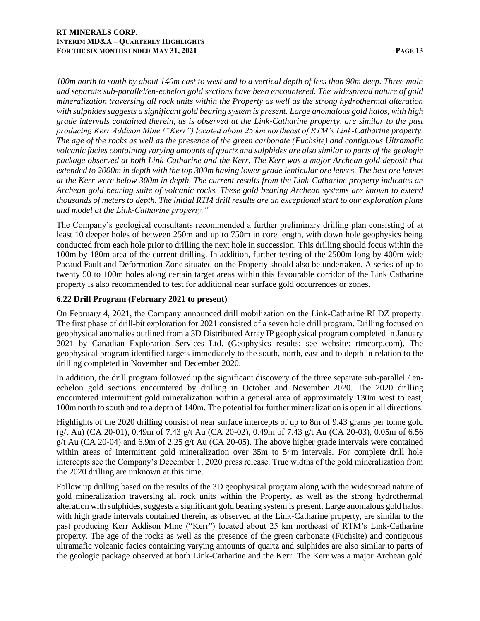*100m north to south by about 140m east to west and to a vertical depth of less than 90m deep. Three main and separate sub-parallel/en-echelon gold sections have been encountered. The widespread nature of gold mineralization traversing all rock units within the Property as well as the strong hydrothermal alteration with sulphides suggests a significant gold bearing system is present. Large anomalous gold halos, with high grade intervals contained therein, as is observed at the Link-Catharine property, are similar to the past producing Kerr Addison Mine ("Kerr") located about 25 km northeast of RTM's Link-Catharine property. The age of the rocks as well as the presence of the green carbonate (Fuchsite) and contiguous Ultramafic volcanic facies containing varying amounts of quartz and sulphides are also similar to parts of the geologic package observed at both Link-Catharine and the Kerr. The Kerr was a major Archean gold deposit that extended to 2000m in depth with the top 300m having lower grade lenticular ore lenses. The best ore lenses at the Kerr were below 300m in depth. The current results from the Link-Catharine property indicates an Archean gold bearing suite of volcanic rocks. These gold bearing Archean systems are known to extend thousands of meters to depth. The initial RTM drill results are an exceptional start to our exploration plans and model at the Link-Catharine property."*

The Company's geological consultants recommended a further preliminary drilling plan consisting of at least 10 deeper holes of between 250m and up to 750m in core length, with down hole geophysics being conducted from each hole prior to drilling the next hole in succession. This drilling should focus within the 100m by 180m area of the current drilling. In addition, further testing of the 2500m long by 400m wide Pacaud Fault and Deformation Zone situated on the Property should also be undertaken. A series of up to twenty 50 to 100m holes along certain target areas within this favourable corridor of the Link Catharine property is also recommended to test for additional near surface gold occurrences or zones.

# **6.22 Drill Program (February 2021 to present)**

On February 4, 2021, the Company announced drill mobilization on the Link-Catharine RLDZ property. The first phase of drill-bit exploration for 2021 consisted of a seven hole drill program. Drilling focused on geophysical anomalies outlined from a 3D Distributed Array IP geophysical program completed in January 2021 by Canadian Exploration Services Ltd. (Geophysics results; see website: rtmcorp.com). The geophysical program identified targets immediately to the south, north, east and to depth in relation to the drilling completed in November and December 2020.

In addition, the drill program followed up the significant discovery of the three separate sub-parallel / enechelon gold sections encountered by drilling in October and November 2020. The 2020 drilling encountered intermittent gold mineralization within a general area of approximately 130m west to east, 100m north to south and to a depth of 140m. The potential for further mineralization is open in all directions.

Highlights of the 2020 drilling consist of near surface intercepts of up to 8m of 9.43 grams per tonne gold  $(g/t \text{ Au})$  (CA 20-01), 0.49m of 7.43 g/t Au (CA 20-02), 0.49m of 7.43 g/t Au (CA 20-03), 0.05m of 6.56 g/t Au (CA 20-04) and 6.9m of 2.25 g/t Au (CA 20-05). The above higher grade intervals were contained within areas of intermittent gold mineralization over 35m to 54m intervals. For complete drill hole intercepts see the Company's December 1, 2020 press release. True widths of the gold mineralization from the 2020 drilling are unknown at this time.

Follow up drilling based on the results of the 3D geophysical program along with the widespread nature of gold mineralization traversing all rock units within the Property, as well as the strong hydrothermal alteration with sulphides, suggests a significant gold bearing system is present. Large anomalous gold halos, with high grade intervals contained therein, as observed at the Link-Catharine property, are similar to the past producing Kerr Addison Mine ("Kerr") located about 25 km northeast of RTM's Link-Catharine property. The age of the rocks as well as the presence of the green carbonate (Fuchsite) and contiguous ultramafic volcanic facies containing varying amounts of quartz and sulphides are also similar to parts of the geologic package observed at both Link-Catharine and the Kerr. The Kerr was a major Archean gold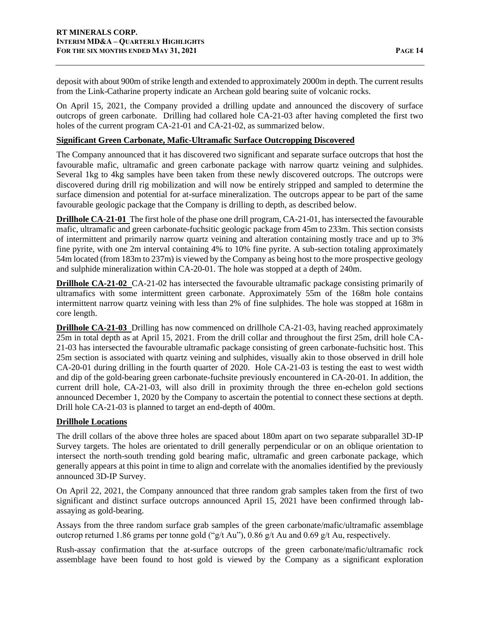deposit with about 900m of strike length and extended to approximately 2000m in depth. The current results from the Link-Catharine property indicate an Archean gold bearing suite of volcanic rocks.

On April 15, 2021, the Company provided a drilling update and announced the discovery of surface outcrops of green carbonate. Drilling had collared hole CA-21-03 after having completed the first two holes of the current program CA-21-01 and CA-21-02, as summarized below.

## **Significant Green Carbonate, Mafic-Ultramafic Surface Outcropping Discovered**

The Company announced that it has discovered two significant and separate surface outcrops that host the favourable mafic, ultramafic and green carbonate package with narrow quartz veining and sulphides. Several 1kg to 4kg samples have been taken from these newly discovered outcrops. The outcrops were discovered during drill rig mobilization and will now be entirely stripped and sampled to determine the surface dimension and potential for at-surface mineralization. The outcrops appear to be part of the same favourable geologic package that the Company is drilling to depth, as described below.

**Drillhole CA-21-01** The first hole of the phase one drill program, CA-21-01, has intersected the favourable mafic, ultramafic and green carbonate-fuchsitic geologic package from 45m to 233m. This section consists of intermittent and primarily narrow quartz veining and alteration containing mostly trace and up to 3% fine pyrite, with one 2m interval containing 4% to 10% fine pyrite. A sub-section totaling approximately 54m located (from 183m to 237m) is viewed by the Company as being host to the more prospective geology and sulphide mineralization within CA-20-01. The hole was stopped at a depth of 240m.

**Drillhole CA-21-02** CA-21-02 has intersected the favourable ultramafic package consisting primarily of ultramafics with some intermittent green carbonate. Approximately 55m of the 168m hole contains intermittent narrow quartz veining with less than 2% of fine sulphides. The hole was stopped at 168m in core length.

**Drillhole CA-21-03** Drilling has now commenced on drillhole CA-21-03, having reached approximately 25m in total depth as at April 15, 2021. From the drill collar and throughout the first 25m, drill hole CA-21-03 has intersected the favourable ultramafic package consisting of green carbonate-fuchsitic host. This 25m section is associated with quartz veining and sulphides, visually akin to those observed in drill hole CA-20-01 during drilling in the fourth quarter of 2020. Hole CA-21-03 is testing the east to west width and dip of the gold-bearing green carbonate-fuchsite previously encountered in CA-20-01. In addition, the current drill hole, CA-21-03, will also drill in proximity through the three en-echelon gold sections announced December 1, 2020 by the Company to ascertain the potential to connect these sections at depth. Drill hole CA-21-03 is planned to target an end-depth of 400m.

## **Drillhole Locations**

The drill collars of the above three holes are spaced about 180m apart on two separate subparallel 3D-IP Survey targets. The holes are orientated to drill generally perpendicular or on an oblique orientation to intersect the north-south trending gold bearing mafic, ultramafic and green carbonate package, which generally appears at this point in time to align and correlate with the anomalies identified by the previously announced 3D-IP Survey.

On April 22, 2021, the Company announced that three random grab samples taken from the first of two significant and distinct surface outcrops announced April 15, 2021 have been confirmed through labassaying as gold-bearing.

Assays from the three random surface grab samples of the green carbonate/mafic/ultramafic assemblage outcrop returned 1.86 grams per tonne gold ("g/t Au"), 0.86 g/t Au and 0.69 g/t Au, respectively.

Rush-assay confirmation that the at-surface outcrops of the green carbonate/mafic/ultramafic rock assemblage have been found to host gold is viewed by the Company as a significant exploration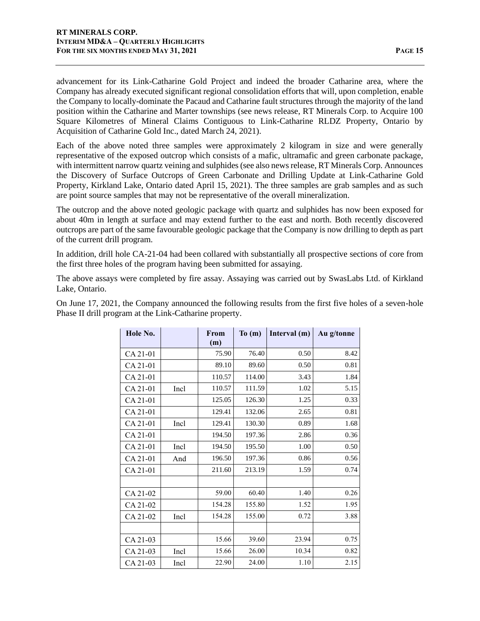advancement for its Link-Catharine Gold Project and indeed the broader Catharine area, where the Company has already executed significant regional consolidation efforts that will, upon completion, enable the Company to locally-dominate the Pacaud and Catharine fault structures through the majority of the land position within the Catharine and Marter townships (see news release, RT Minerals Corp. to Acquire 100 Square Kilometres of Mineral Claims Contiguous to Link-Catharine RLDZ Property, Ontario by Acquisition of Catharine Gold Inc., dated March 24, 2021).

Each of the above noted three samples were approximately 2 kilogram in size and were generally representative of the exposed outcrop which consists of a mafic, ultramafic and green carbonate package, with intermittent narrow quartz veining and sulphides (see also news release, RT Minerals Corp. Announces the Discovery of Surface Outcrops of Green Carbonate and Drilling Update at Link-Catharine Gold Property, Kirkland Lake, Ontario dated April 15, 2021). The three samples are grab samples and as such are point source samples that may not be representative of the overall mineralization.

The outcrop and the above noted geologic package with quartz and sulphides has now been exposed for about 40m in length at surface and may extend further to the east and north. Both recently discovered outcrops are part of the same favourable geologic package that the Company is now drilling to depth as part of the current drill program.

In addition, drill hole CA-21-04 had been collared with substantially all prospective sections of core from the first three holes of the program having been submitted for assaying.

The above assays were completed by fire assay. Assaying was carried out by SwasLabs Ltd. of Kirkland Lake, Ontario.

On June 17, 2021, the Company announced the following results from the first five holes of a seven-hole Phase II drill program at the Link-Catharine property.

| Hole No. |      | From   | To(m)  | Interval $(m)$ | Au g/tonne |
|----------|------|--------|--------|----------------|------------|
|          |      | (m)    |        |                |            |
| CA 21-01 |      | 75.90  | 76.40  | 0.50           | 8.42       |
| CA 21-01 |      | 89.10  | 89.60  | 0.50           | 0.81       |
| CA 21-01 |      | 110.57 | 114.00 | 3.43           | 1.84       |
| CA 21-01 | Incl | 110.57 | 111.59 | 1.02           | 5.15       |
| CA 21-01 |      | 125.05 | 126.30 | 1.25           | 0.33       |
| CA 21-01 |      | 129.41 | 132.06 | 2.65           | 0.81       |
| CA 21-01 | Incl | 129.41 | 130.30 | 0.89           | 1.68       |
| CA 21-01 |      | 194.50 | 197.36 | 2.86           | 0.36       |
| CA 21-01 | Incl | 194.50 | 195.50 | 1.00           | 0.50       |
| CA 21-01 | And  | 196.50 | 197.36 | 0.86           | 0.56       |
| CA 21-01 |      | 211.60 | 213.19 | 1.59           | 0.74       |
|          |      |        |        |                |            |
| CA 21-02 |      | 59.00  | 60.40  | 1.40           | 0.26       |
| CA 21-02 |      | 154.28 | 155.80 | 1.52           | 1.95       |
| CA 21-02 | Incl | 154.28 | 155.00 | 0.72           | 3.88       |
|          |      |        |        |                |            |
| CA 21-03 |      | 15.66  | 39.60  | 23.94          | 0.75       |
| CA 21-03 | Incl | 15.66  | 26.00  | 10.34          | 0.82       |
| CA 21-03 | Incl | 22.90  | 24.00  | 1.10           | 2.15       |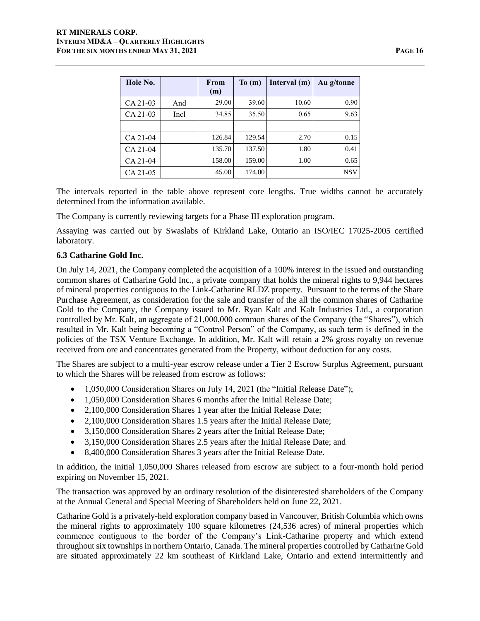| Hole No. |      | From<br>(m) | To(m)  | Interval $(m)$ | Au g/tonne |
|----------|------|-------------|--------|----------------|------------|
| CA 21-03 | And  | 29.00       | 39.60  | 10.60          | 0.90       |
| CA 21-03 | Incl | 34.85       | 35.50  | 0.65           | 9.63       |
|          |      |             |        |                |            |
| CA 21-04 |      | 126.84      | 129.54 | 2.70           | 0.15       |
| CA 21-04 |      | 135.70      | 137.50 | 1.80           | 0.41       |
| CA 21-04 |      | 158.00      | 159.00 | 1.00           | 0.65       |
| CA 21-05 |      | 45.00       | 174.00 |                | <b>NSV</b> |

The intervals reported in the table above represent core lengths. True widths cannot be accurately determined from the information available.

The Company is currently reviewing targets for a Phase III exploration program.

Assaying was carried out by Swaslabs of Kirkland Lake, Ontario an ISO/IEC 17025-2005 certified laboratory.

### **6.3 Catharine Gold Inc.**

On July 14, 2021, the Company completed the acquisition of a 100% interest in the issued and outstanding common shares of Catharine Gold Inc., a private company that holds the mineral rights to 9,944 hectares of mineral properties contiguous to the Link-Catharine RLDZ property. Pursuant to the terms of the Share Purchase Agreement, as consideration for the sale and transfer of the all the common shares of Catharine Gold to the Company, the Company issued to Mr. Ryan Kalt and Kalt Industries Ltd., a corporation controlled by Mr. Kalt, an aggregate of 21,000,000 common shares of the Company (the "Shares"), which resulted in Mr. Kalt being becoming a "Control Person" of the Company, as such term is defined in the policies of the TSX Venture Exchange. In addition, Mr. Kalt will retain a 2% gross royalty on revenue received from ore and concentrates generated from the Property, without deduction for any costs.

The Shares are subject to a multi-year escrow release under a Tier 2 Escrow Surplus Agreement, pursuant to which the Shares will be released from escrow as follows:

- 1,050,000 Consideration Shares on July 14, 2021 (the "Initial Release Date");
- 1,050,000 Consideration Shares 6 months after the Initial Release Date;
- 2,100,000 Consideration Shares 1 year after the Initial Release Date;
- 2,100,000 Consideration Shares 1.5 years after the Initial Release Date;
- 3,150,000 Consideration Shares 2 years after the Initial Release Date;
- 3,150,000 Consideration Shares 2.5 years after the Initial Release Date; and
- 8,400,000 Consideration Shares 3 years after the Initial Release Date.

In addition, the initial 1,050,000 Shares released from escrow are subject to a four-month hold period expiring on November 15, 2021.

The transaction was approved by an ordinary resolution of the disinterested shareholders of the Company at the Annual General and Special Meeting of Shareholders held on June 22, 2021.

Catharine Gold is a privately-held exploration company based in Vancouver, British Columbia which owns the mineral rights to approximately 100 square kilometres (24,536 acres) of mineral properties which commence contiguous to the border of the Company's Link-Catharine property and which extend throughout six townships in northern Ontario, Canada. The mineral properties controlled by Catharine Gold are situated approximately 22 km southeast of Kirkland Lake, Ontario and extend intermittently and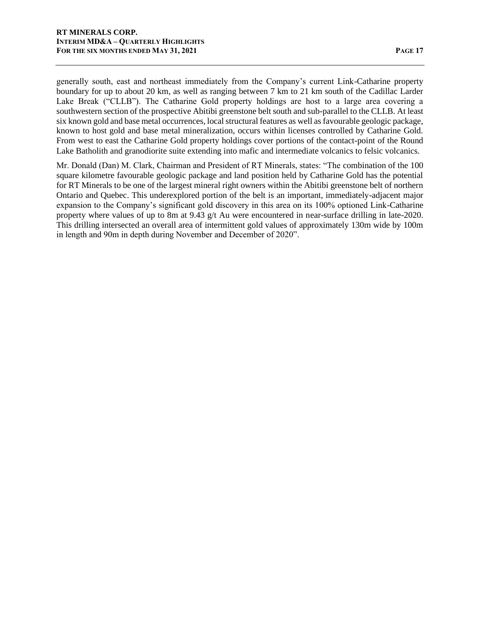generally south, east and northeast immediately from the Company's current Link-Catharine property boundary for up to about 20 km, as well as ranging between 7 km to 21 km south of the Cadillac Larder Lake Break ("CLLB"). The Catharine Gold property holdings are host to a large area covering a southwestern section of the prospective Abitibi greenstone belt south and sub-parallel to the CLLB. At least six known gold and base metal occurrences, local structural features as well as favourable geologic package, known to host gold and base metal mineralization, occurs within licenses controlled by Catharine Gold. From west to east the Catharine Gold property holdings cover portions of the contact-point of the Round Lake Batholith and granodiorite suite extending into mafic and intermediate volcanics to felsic volcanics.

Mr. Donald (Dan) M. Clark, Chairman and President of RT Minerals, states: "The combination of the 100 square kilometre favourable geologic package and land position held by Catharine Gold has the potential for RT Minerals to be one of the largest mineral right owners within the Abitibi greenstone belt of northern Ontario and Quebec. This underexplored portion of the belt is an important, immediately-adjacent major expansion to the Company's significant gold discovery in this area on its 100% optioned Link-Catharine property where values of up to 8m at 9.43 g/t Au were encountered in near-surface drilling in late-2020. This drilling intersected an overall area of intermittent gold values of approximately 130m wide by 100m in length and 90m in depth during November and December of 2020".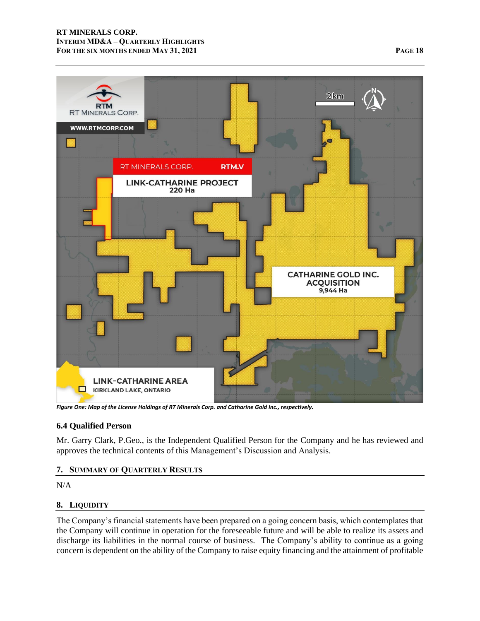

*Figure One: Map of the License Holdings of RT Minerals Corp. and Catharine Gold Inc., respectively.*

### **6.4 Qualified Person**

Mr. Garry Clark, P.Geo., is the Independent Qualified Person for the Company and he has reviewed and approves the technical contents of this Management's Discussion and Analysis.

# **7. SUMMARY OF QUARTERLY RESULTS**

N/A

## **8. LIQUIDITY**

The Company's financial statements have been prepared on a going concern basis, which contemplates that the Company will continue in operation for the foreseeable future and will be able to realize its assets and discharge its liabilities in the normal course of business. The Company's ability to continue as a going concern is dependent on the ability of the Company to raise equity financing and the attainment of profitable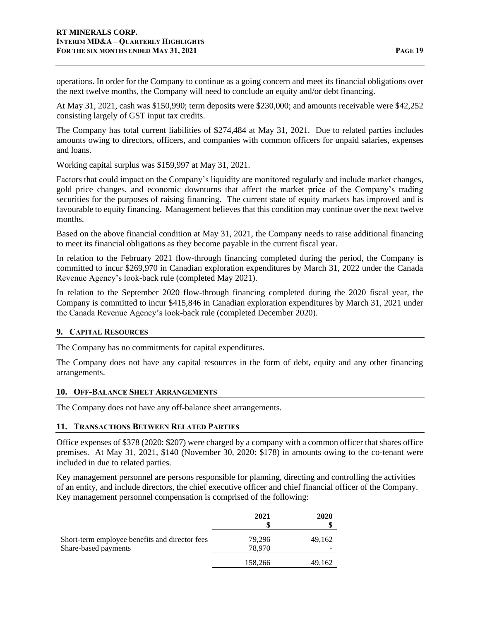operations. In order for the Company to continue as a going concern and meet its financial obligations over the next twelve months, the Company will need to conclude an equity and/or debt financing.

At May 31, 2021, cash was \$150,990; term deposits were \$230,000; and amounts receivable were \$42,252 consisting largely of GST input tax credits.

The Company has total current liabilities of \$274,484 at May 31, 2021. Due to related parties includes amounts owing to directors, officers, and companies with common officers for unpaid salaries, expenses and loans.

Working capital surplus was \$159,997 at May 31, 2021.

Factors that could impact on the Company's liquidity are monitored regularly and include market changes, gold price changes, and economic downturns that affect the market price of the Company's trading securities for the purposes of raising financing. The current state of equity markets has improved and is favourable to equity financing. Management believes that this condition may continue over the next twelve months.

Based on the above financial condition at May 31, 2021, the Company needs to raise additional financing to meet its financial obligations as they become payable in the current fiscal year.

In relation to the February 2021 flow-through financing completed during the period, the Company is committed to incur \$269,970 in Canadian exploration expenditures by March 31, 2022 under the Canada Revenue Agency's look-back rule (completed May 2021).

In relation to the September 2020 flow-through financing completed during the 2020 fiscal year, the Company is committed to incur \$415,846 in Canadian exploration expenditures by March 31, 2021 under the Canada Revenue Agency's look-back rule (completed December 2020).

## **9. CAPITAL RESOURCES**

The Company has no commitments for capital expenditures.

The Company does not have any capital resources in the form of debt, equity and any other financing arrangements.

### **10. OFF-BALANCE SHEET ARRANGEMENTS**

The Company does not have any off-balance sheet arrangements.

### **11. TRANSACTIONS BETWEEN RELATED PARTIES**

Office expenses of \$378 (2020: \$207) were charged by a company with a common officer that shares office premises. At May 31, 2021, \$140 (November 30, 2020: \$178) in amounts owing to the co-tenant were included in due to related parties.

Key management personnel are persons responsible for planning, directing and controlling the activities of an entity, and include directors, the chief executive officer and chief financial officer of the Company. Key management personnel compensation is comprised of the following:

|                                                | 2021    | 2020   |
|------------------------------------------------|---------|--------|
| Short-term employee benefits and director fees | 79.296  | 49.162 |
| Share-based payments                           | 78.970  |        |
|                                                | 158,266 | 49,162 |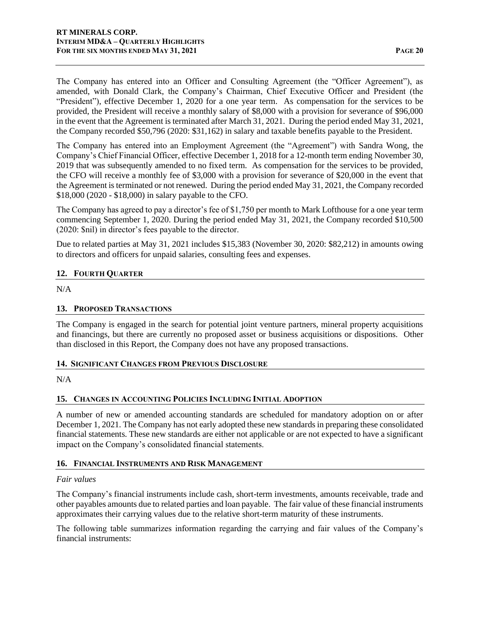The Company has entered into an Officer and Consulting Agreement (the "Officer Agreement"), as amended, with Donald Clark, the Company's Chairman, Chief Executive Officer and President (the "President"), effective December 1, 2020 for a one year term. As compensation for the services to be provided, the President will receive a monthly salary of \$8,000 with a provision for severance of \$96,000 in the event that the Agreement is terminated after March 31, 2021. During the period ended May 31, 2021, the Company recorded \$50,796 (2020: \$31,162) in salary and taxable benefits payable to the President.

The Company has entered into an Employment Agreement (the "Agreement") with Sandra Wong, the Company's Chief Financial Officer, effective December 1, 2018 for a 12-month term ending November 30, 2019 that was subsequently amended to no fixed term. As compensation for the services to be provided, the CFO will receive a monthly fee of \$3,000 with a provision for severance of \$20,000 in the event that the Agreement is terminated or not renewed. During the period ended May 31, 2021, the Company recorded \$18,000 (2020 - \$18,000) in salary payable to the CFO.

The Company has agreed to pay a director's fee of \$1,750 per month to Mark Lofthouse for a one year term commencing September 1, 2020. During the period ended May 31, 2021, the Company recorded \$10,500 (2020: \$nil) in director's fees payable to the director.

Due to related parties at May 31, 2021 includes \$15,383 (November 30, 2020: \$82,212) in amounts owing to directors and officers for unpaid salaries, consulting fees and expenses.

# **12. FOURTH QUARTER**

N/A

# **13. PROPOSED TRANSACTIONS**

The Company is engaged in the search for potential joint venture partners, mineral property acquisitions and financings, but there are currently no proposed asset or business acquisitions or dispositions. Other than disclosed in this Report, the Company does not have any proposed transactions.

## **14. SIGNIFICANT CHANGES FROM PREVIOUS DISCLOSURE**

N/A

## **15. CHANGES IN ACCOUNTING POLICIES INCLUDING INITIAL ADOPTION**

A number of new or amended accounting standards are scheduled for mandatory adoption on or after December 1, 2021. The Company has not early adopted these new standards in preparing these consolidated financial statements. These new standards are either not applicable or are not expected to have a significant impact on the Company's consolidated financial statements.

### **16. FINANCIAL INSTRUMENTS AND RISK MANAGEMENT**

### *Fair values*

The Company's financial instruments include cash, short-term investments, amounts receivable, trade and other payables amounts due to related parties and loan payable. The fair value of these financial instruments approximates their carrying values due to the relative short-term maturity of these instruments.

The following table summarizes information regarding the carrying and fair values of the Company's financial instruments: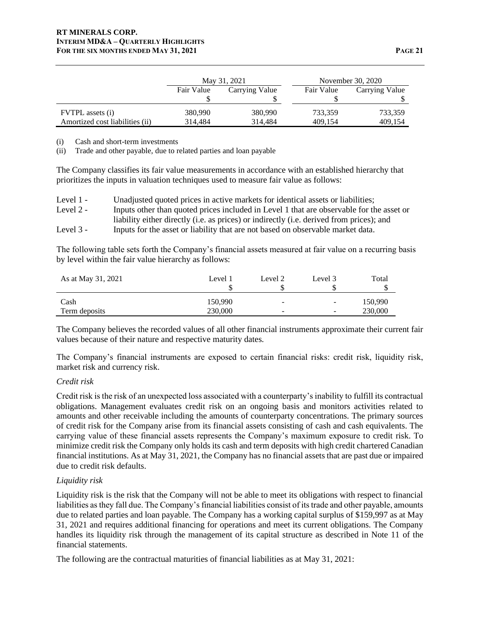|                                 | May 31, 2021                 |         |            | November 30, 2020 |
|---------------------------------|------------------------------|---------|------------|-------------------|
|                                 | Carrying Value<br>Fair Value |         | Fair Value | Carrying Value    |
|                                 |                              |         |            |                   |
| <b>FVTPL</b> assets (i)         | 380,990                      | 380,990 | 733,359    | 733,359           |
| Amortized cost liabilities (ii) | 314,484                      | 314.484 | 409.154    | 409.154           |

(i) Cash and short-term investments

(ii) Trade and other payable, due to related parties and loan payable

The Company classifies its fair value measurements in accordance with an established hierarchy that prioritizes the inputs in valuation techniques used to measure fair value as follows:

| Level 1 -   | Unadjusted quoted prices in active markets for identical assets or liabilities;          |
|-------------|------------------------------------------------------------------------------------------|
| Level 2 -   | Inputs other than quoted prices included in Level 1 that are observable for the asset or |
|             | liability either directly (i.e. as prices) or indirectly (i.e. derived from prices); and |
| Level $3 -$ | Inputs for the asset or liability that are not based on observable market data.          |

The following table sets forth the Company's financial assets measured at fair value on a recurring basis by level within the fair value hierarchy as follows:

| As at May 31, 2021 | Level 1 | Level 2                  | Level 3                  | Total   |
|--------------------|---------|--------------------------|--------------------------|---------|
| Cash               | 150,990 | -                        | $\overline{\phantom{a}}$ | 150,990 |
| Term deposits      | 230,000 | $\overline{\phantom{a}}$ | -                        | 230,000 |

The Company believes the recorded values of all other financial instruments approximate their current fair values because of their nature and respective maturity dates.

The Company's financial instruments are exposed to certain financial risks: credit risk, liquidity risk, market risk and currency risk.

### *Credit risk*

Credit risk is the risk of an unexpected loss associated with a counterparty's inability to fulfill its contractual obligations. Management evaluates credit risk on an ongoing basis and monitors activities related to amounts and other receivable including the amounts of counterparty concentrations. The primary sources of credit risk for the Company arise from its financial assets consisting of cash and cash equivalents. The carrying value of these financial assets represents the Company's maximum exposure to credit risk. To minimize credit risk the Company only holds its cash and term deposits with high credit chartered Canadian financial institutions. As at May 31, 2021, the Company has no financial assets that are past due or impaired due to credit risk defaults.

## *Liquidity risk*

Liquidity risk is the risk that the Company will not be able to meet its obligations with respect to financial liabilities as they fall due. The Company's financial liabilities consist of its trade and other payable, amounts due to related parties and loan payable. The Company has a working capital surplus of \$159,997 as at May 31, 2021 and requires additional financing for operations and meet its current obligations. The Company handles its liquidity risk through the management of its capital structure as described in Note 11 of the financial statements.

The following are the contractual maturities of financial liabilities as at May 31, 2021: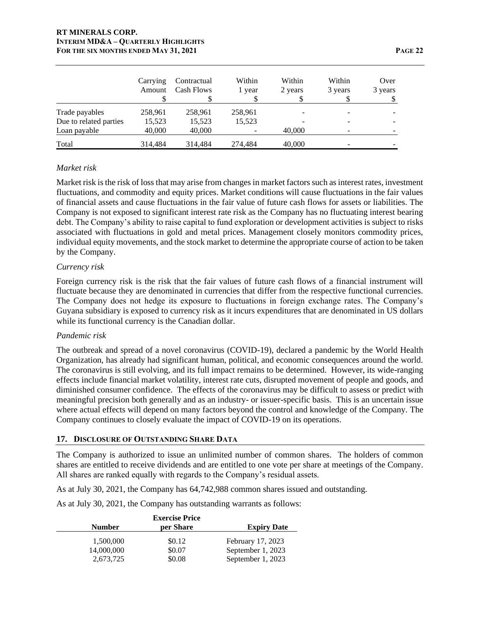|                        | Carrying<br>Amount | Contractual<br>Cash Flows | Within<br>1 year | Within<br>2 years | Within<br>3 years | Over<br>3 years |
|------------------------|--------------------|---------------------------|------------------|-------------------|-------------------|-----------------|
| Trade payables         | 258,961            | 258,961                   | 258,961          |                   |                   |                 |
| Due to related parties | 15,523             | 15,523                    | 15,523           |                   |                   |                 |
| Loan payable           | 40,000             | 40,000                    |                  | 40,000            | ۰                 |                 |
| Total                  | 314.484            | 314.484                   | 274.484          | 40,000            | ۰                 |                 |

## *Market risk*

Market risk is the risk of loss that may arise from changes in market factors such as interest rates, investment fluctuations, and commodity and equity prices. Market conditions will cause fluctuations in the fair values of financial assets and cause fluctuations in the fair value of future cash flows for assets or liabilities. The Company is not exposed to significant interest rate risk as the Company has no fluctuating interest bearing debt. The Company's ability to raise capital to fund exploration or development activities is subject to risks associated with fluctuations in gold and metal prices. Management closely monitors commodity prices, individual equity movements, and the stock market to determine the appropriate course of action to be taken by the Company.

### *Currency risk*

Foreign currency risk is the risk that the fair values of future cash flows of a financial instrument will fluctuate because they are denominated in currencies that differ from the respective functional currencies. The Company does not hedge its exposure to fluctuations in foreign exchange rates. The Company's Guyana subsidiary is exposed to currency risk as it incurs expenditures that are denominated in US dollars while its functional currency is the Canadian dollar.

### *Pandemic risk*

The outbreak and spread of a novel coronavirus (COVID-19), declared a pandemic by the World Health Organization, has already had significant human, political, and economic consequences around the world. The coronavirus is still evolving, and its full impact remains to be determined. However, its wide-ranging effects include financial market volatility, interest rate cuts, disrupted movement of people and goods, and diminished consumer confidence. The effects of the coronavirus may be difficult to assess or predict with meaningful precision both generally and as an industry- or issuer-specific basis. This is an uncertain issue where actual effects will depend on many factors beyond the control and knowledge of the Company. The Company continues to closely evaluate the impact of COVID-19 on its operations.

### **17. DISCLOSURE OF OUTSTANDING SHARE DATA**

The Company is authorized to issue an unlimited number of common shares. The holders of common shares are entitled to receive dividends and are entitled to one vote per share at meetings of the Company. All shares are ranked equally with regards to the Company's residual assets.

As at July 30, 2021, the Company has 64,742,988 common shares issued and outstanding.

As at July 30, 2021, the Company has outstanding warrants as follows:

| <b>Exercise Price</b> |           |                    |  |  |  |  |
|-----------------------|-----------|--------------------|--|--|--|--|
| <b>Number</b>         | per Share | <b>Expiry Date</b> |  |  |  |  |
| 1,500,000             | \$0.12    | February 17, 2023  |  |  |  |  |
| 14,000,000            | \$0.07    | September 1, 2023  |  |  |  |  |
| 2,673,725             | \$0.08    | September 1, 2023  |  |  |  |  |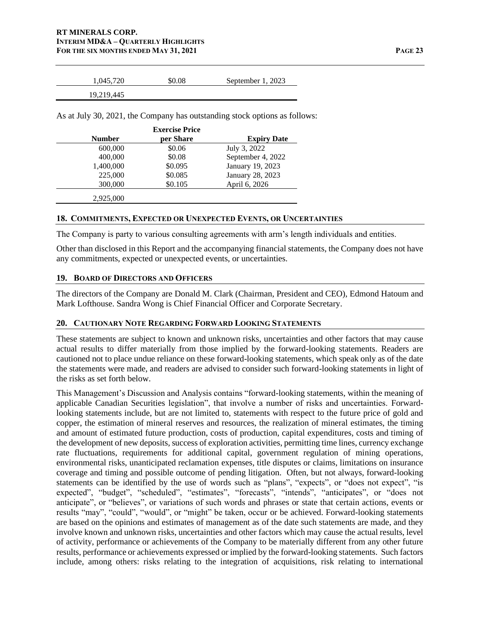| 1.045.720  | \$0.08 | September 1, 2023 |
|------------|--------|-------------------|
| 19,219,445 |        |                   |

As at July 30, 2021, the Company has outstanding stock options as follows:

|               | <b>Exercise Price</b> |                    |
|---------------|-----------------------|--------------------|
| <b>Number</b> | per Share             | <b>Expiry Date</b> |
| 600,000       | \$0.06                | July 3, 2022       |
| 400,000       | \$0.08                | September 4, 2022  |
| 1,400,000     | \$0.095               | January 19, 2023   |
| 225,000       | \$0.085               | January 28, 2023   |
| 300,000       | \$0.105               | April 6, 2026      |
| 2,925,000     |                       |                    |

#### **18. COMMITMENTS, EXPECTED OR UNEXPECTED EVENTS, OR UNCERTAINTIES**

The Company is party to various consulting agreements with arm's length individuals and entities.

Other than disclosed in this Report and the accompanying financial statements, the Company does not have any commitments, expected or unexpected events, or uncertainties.

### **19. BOARD OF DIRECTORS AND OFFICERS**

The directors of the Company are Donald M. Clark (Chairman, President and CEO), Edmond Hatoum and Mark Lofthouse. Sandra Wong is Chief Financial Officer and Corporate Secretary.

#### **20. CAUTIONARY NOTE REGARDING FORWARD LOOKING STATEMENTS**

These statements are subject to known and unknown risks, uncertainties and other factors that may cause actual results to differ materially from those implied by the forward-looking statements. Readers are cautioned not to place undue reliance on these forward-looking statements, which speak only as of the date the statements were made, and readers are advised to consider such forward-looking statements in light of the risks as set forth below.

This Management's Discussion and Analysis contains "forward-looking statements, within the meaning of applicable Canadian Securities legislation", that involve a number of risks and uncertainties. Forwardlooking statements include, but are not limited to, statements with respect to the future price of gold and copper, the estimation of mineral reserves and resources, the realization of mineral estimates, the timing and amount of estimated future production, costs of production, capital expenditures, costs and timing of the development of new deposits, success of exploration activities, permitting time lines, currency exchange rate fluctuations, requirements for additional capital, government regulation of mining operations, environmental risks, unanticipated reclamation expenses, title disputes or claims, limitations on insurance coverage and timing and possible outcome of pending litigation. Often, but not always, forward-looking statements can be identified by the use of words such as "plans", "expects", or "does not expect", "is expected", "budget", "scheduled", "estimates", "forecasts", "intends", "anticipates", or "does not anticipate", or "believes", or variations of such words and phrases or state that certain actions, events or results "may", "could", "would", or "might" be taken, occur or be achieved. Forward-looking statements are based on the opinions and estimates of management as of the date such statements are made, and they involve known and unknown risks, uncertainties and other factors which may cause the actual results, level of activity, performance or achievements of the Company to be materially different from any other future results, performance or achievements expressed or implied by the forward-looking statements. Such factors include, among others: risks relating to the integration of acquisitions, risk relating to international